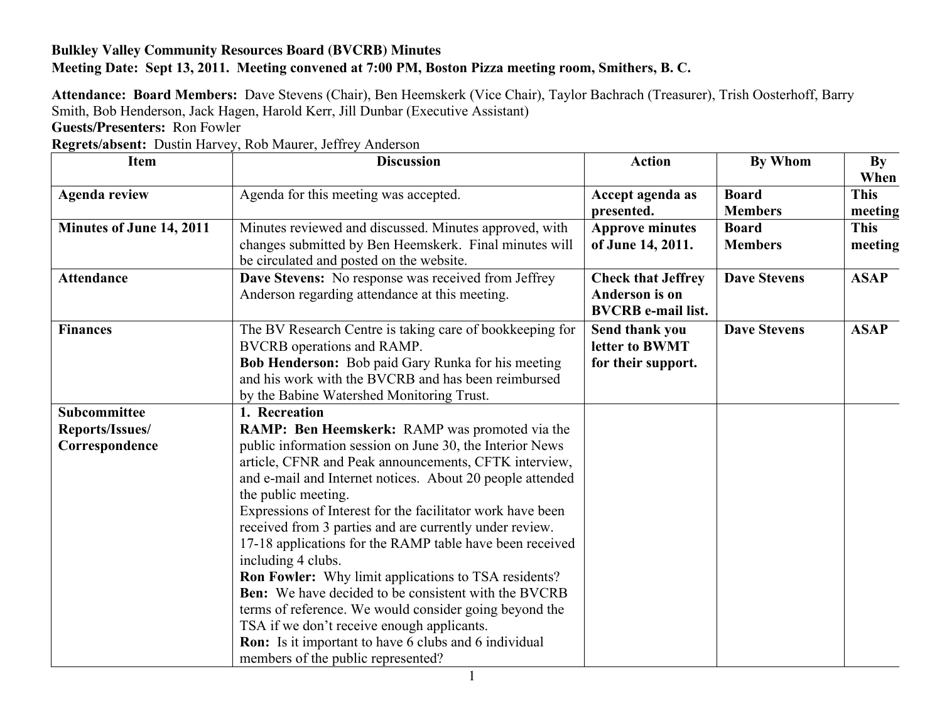## **Bulkley Valley Community Resources Board (BVCRB) Minutes Meeting Date: Sept 13, 2011. Meeting convened at 7:00 PM, Boston Pizza meeting room, Smithers, B. C.**

**Attendance: Board Members:** Dave Stevens (Chair), Ben Heemskerk (Vice Chair), Taylor Bachrach (Treasurer), Trish Oosterhoff, Barry Smith, Bob Henderson, Jack Hagen, Harold Kerr, Jill Dunbar (Executive Assistant)

**Guests/Presenters:** Ron Fowler

**Regrets/absent:** Dustin Harvey, Rob Maurer, Jeffrey Anderson

| <b>Item</b>              | <b>Discussion</b>                                                                                                                                                                                                                                                                                                                                                                                                                                                                                                                                                                                                                                                                                                                                            | <b>Action</b>                                                            | <b>By Whom</b>                 | By<br>When             |
|--------------------------|--------------------------------------------------------------------------------------------------------------------------------------------------------------------------------------------------------------------------------------------------------------------------------------------------------------------------------------------------------------------------------------------------------------------------------------------------------------------------------------------------------------------------------------------------------------------------------------------------------------------------------------------------------------------------------------------------------------------------------------------------------------|--------------------------------------------------------------------------|--------------------------------|------------------------|
| <b>Agenda review</b>     | Agenda for this meeting was accepted.                                                                                                                                                                                                                                                                                                                                                                                                                                                                                                                                                                                                                                                                                                                        | Accept agenda as<br>presented.                                           | <b>Board</b><br><b>Members</b> | <b>This</b><br>meeting |
| Minutes of June 14, 2011 | Minutes reviewed and discussed. Minutes approved, with<br>changes submitted by Ben Heemskerk. Final minutes will<br>be circulated and posted on the website.                                                                                                                                                                                                                                                                                                                                                                                                                                                                                                                                                                                                 | <b>Approve minutes</b><br>of June 14, 2011.                              | <b>Board</b><br><b>Members</b> | <b>This</b><br>meeting |
| <b>Attendance</b>        | <b>Dave Stevens:</b> No response was received from Jeffrey<br>Anderson regarding attendance at this meeting.                                                                                                                                                                                                                                                                                                                                                                                                                                                                                                                                                                                                                                                 | <b>Check that Jeffrey</b><br>Anderson is on<br><b>BVCRB</b> e-mail list. | <b>Dave Stevens</b>            | <b>ASAP</b>            |
| <b>Finances</b>          | The BV Research Centre is taking care of bookkeeping for<br>BVCRB operations and RAMP.<br><b>Bob Henderson:</b> Bob paid Gary Runka for his meeting<br>and his work with the BVCRB and has been reimbursed<br>by the Babine Watershed Monitoring Trust.                                                                                                                                                                                                                                                                                                                                                                                                                                                                                                      | Send thank you<br>letter to BWMT<br>for their support.                   | <b>Dave Stevens</b>            | <b>ASAP</b>            |
| <b>Subcommittee</b>      | 1. Recreation                                                                                                                                                                                                                                                                                                                                                                                                                                                                                                                                                                                                                                                                                                                                                |                                                                          |                                |                        |
| Reports/Issues/          | <b>RAMP: Ben Heemskerk: RAMP</b> was promoted via the                                                                                                                                                                                                                                                                                                                                                                                                                                                                                                                                                                                                                                                                                                        |                                                                          |                                |                        |
| Correspondence           | public information session on June 30, the Interior News<br>article, CFNR and Peak announcements, CFTK interview,<br>and e-mail and Internet notices. About 20 people attended<br>the public meeting.<br>Expressions of Interest for the facilitator work have been<br>received from 3 parties and are currently under review.<br>17-18 applications for the RAMP table have been received<br>including 4 clubs.<br><b>Ron Fowler:</b> Why limit applications to TSA residents?<br><b>Ben:</b> We have decided to be consistent with the BVCRB<br>terms of reference. We would consider going beyond the<br>TSA if we don't receive enough applicants.<br><b>Ron:</b> Is it important to have 6 clubs and 6 individual<br>members of the public represented? |                                                                          |                                |                        |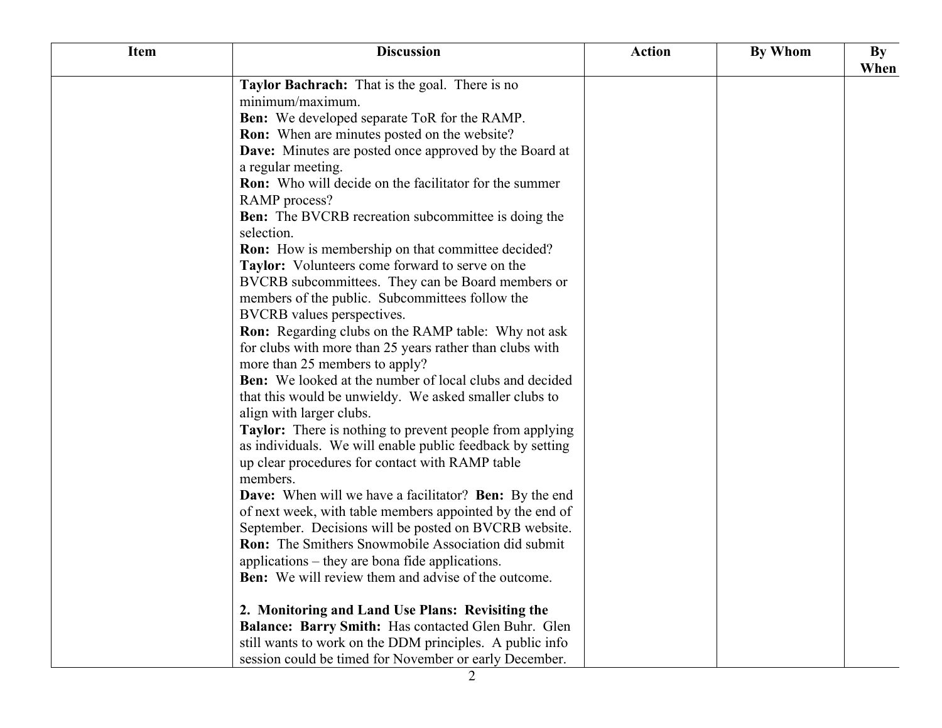| <b>Item</b> | <b>Discussion</b>                                                                   | <b>Action</b> | By Whom | $\mathbf{B}\mathbf{y}$<br>When |
|-------------|-------------------------------------------------------------------------------------|---------------|---------|--------------------------------|
|             | Taylor Bachrach: That is the goal. There is no                                      |               |         |                                |
|             | minimum/maximum.                                                                    |               |         |                                |
|             | <b>Ben:</b> We developed separate ToR for the RAMP.                                 |               |         |                                |
|             | <b>Ron:</b> When are minutes posted on the website?                                 |               |         |                                |
|             | <b>Dave:</b> Minutes are posted once approved by the Board at<br>a regular meeting. |               |         |                                |
|             | <b>Ron:</b> Who will decide on the facilitator for the summer                       |               |         |                                |
|             | RAMP process?                                                                       |               |         |                                |
|             | <b>Ben:</b> The BVCRB recreation subcommittee is doing the<br>selection.            |               |         |                                |
|             | <b>Ron:</b> How is membership on that committee decided?                            |               |         |                                |
|             | Taylor: Volunteers come forward to serve on the                                     |               |         |                                |
|             | BVCRB subcommittees. They can be Board members or                                   |               |         |                                |
|             | members of the public. Subcommittees follow the                                     |               |         |                                |
|             | BVCRB values perspectives.                                                          |               |         |                                |
|             | <b>Ron:</b> Regarding clubs on the RAMP table: Why not ask                          |               |         |                                |
|             | for clubs with more than 25 years rather than clubs with                            |               |         |                                |
|             | more than 25 members to apply?                                                      |               |         |                                |
|             | <b>Ben:</b> We looked at the number of local clubs and decided                      |               |         |                                |
|             | that this would be unwieldy. We asked smaller clubs to                              |               |         |                                |
|             | align with larger clubs.                                                            |               |         |                                |
|             | <b>Taylor:</b> There is nothing to prevent people from applying                     |               |         |                                |
|             | as individuals. We will enable public feedback by setting                           |               |         |                                |
|             | up clear procedures for contact with RAMP table<br>members.                         |               |         |                                |
|             | <b>Dave:</b> When will we have a facilitator? <b>Ben:</b> By the end                |               |         |                                |
|             | of next week, with table members appointed by the end of                            |               |         |                                |
|             | September. Decisions will be posted on BVCRB website.                               |               |         |                                |
|             | <b>Ron:</b> The Smithers Snowmobile Association did submit                          |               |         |                                |
|             | applications – they are bona fide applications.                                     |               |         |                                |
|             | <b>Ben:</b> We will review them and advise of the outcome.                          |               |         |                                |
|             | 2. Monitoring and Land Use Plans: Revisiting the                                    |               |         |                                |
|             | Balance: Barry Smith: Has contacted Glen Buhr. Glen                                 |               |         |                                |
|             | still wants to work on the DDM principles. A public info                            |               |         |                                |
|             | session could be timed for November or early December.                              |               |         |                                |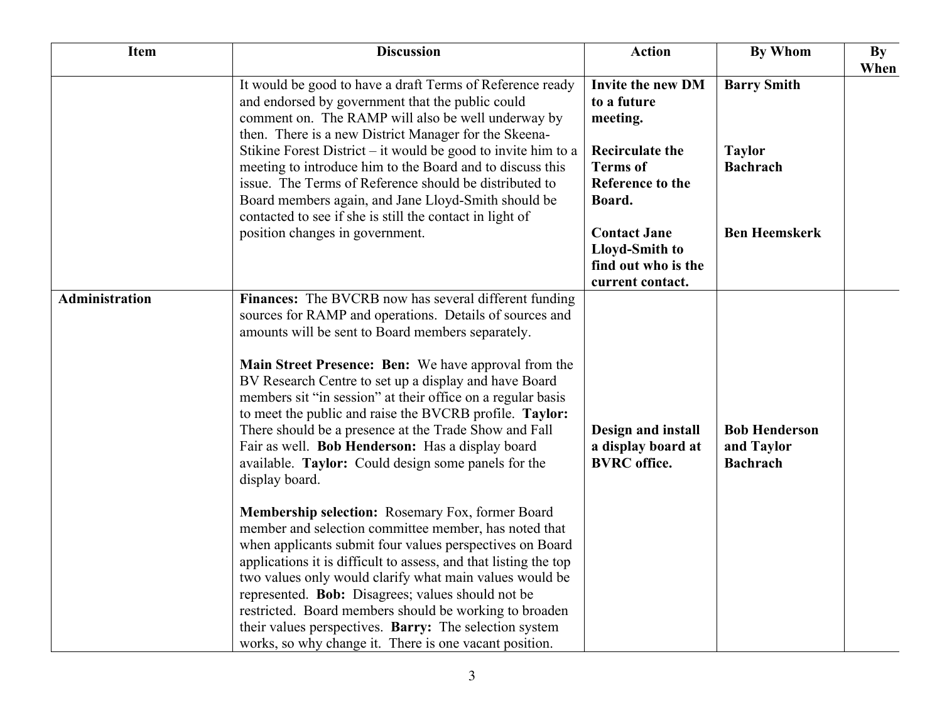| Item                  | <b>Discussion</b>                                                                                                                                                                                                                                                                                                                                                                                                                                                                                                                                                                                                                                                                                                                                                                                                                                                                                                                                                                                                                                                                                                                                 | <b>Action</b>                                                                                                                                                                                                                    | <b>By Whom</b>                                                                 | By<br>When |
|-----------------------|---------------------------------------------------------------------------------------------------------------------------------------------------------------------------------------------------------------------------------------------------------------------------------------------------------------------------------------------------------------------------------------------------------------------------------------------------------------------------------------------------------------------------------------------------------------------------------------------------------------------------------------------------------------------------------------------------------------------------------------------------------------------------------------------------------------------------------------------------------------------------------------------------------------------------------------------------------------------------------------------------------------------------------------------------------------------------------------------------------------------------------------------------|----------------------------------------------------------------------------------------------------------------------------------------------------------------------------------------------------------------------------------|--------------------------------------------------------------------------------|------------|
|                       | It would be good to have a draft Terms of Reference ready<br>and endorsed by government that the public could<br>comment on. The RAMP will also be well underway by<br>then. There is a new District Manager for the Skeena-<br>Stikine Forest District $-$ it would be good to invite him to a<br>meeting to introduce him to the Board and to discuss this<br>issue. The Terms of Reference should be distributed to<br>Board members again, and Jane Lloyd-Smith should be<br>contacted to see if she is still the contact in light of<br>position changes in government.                                                                                                                                                                                                                                                                                                                                                                                                                                                                                                                                                                      | <b>Invite the new DM</b><br>to a future<br>meeting.<br><b>Recirculate the</b><br><b>Terms</b> of<br><b>Reference to the</b><br>Board.<br><b>Contact Jane</b><br><b>Lloyd-Smith to</b><br>find out who is the<br>current contact. | <b>Barry Smith</b><br><b>Taylor</b><br><b>Bachrach</b><br><b>Ben Heemskerk</b> |            |
| <b>Administration</b> | Finances: The BVCRB now has several different funding<br>sources for RAMP and operations. Details of sources and<br>amounts will be sent to Board members separately.<br>Main Street Presence: Ben: We have approval from the<br>BV Research Centre to set up a display and have Board<br>members sit "in session" at their office on a regular basis<br>to meet the public and raise the BVCRB profile. Taylor:<br>There should be a presence at the Trade Show and Fall<br>Fair as well. Bob Henderson: Has a display board<br>available. Taylor: Could design some panels for the<br>display board.<br>Membership selection: Rosemary Fox, former Board<br>member and selection committee member, has noted that<br>when applicants submit four values perspectives on Board<br>applications it is difficult to assess, and that listing the top<br>two values only would clarify what main values would be<br>represented. Bob: Disagrees; values should not be<br>restricted. Board members should be working to broaden<br>their values perspectives. Barry: The selection system<br>works, so why change it. There is one vacant position. | Design and install<br>a display board at<br><b>BVRC</b> office.                                                                                                                                                                  | <b>Bob Henderson</b><br>and Taylor<br><b>Bachrach</b>                          |            |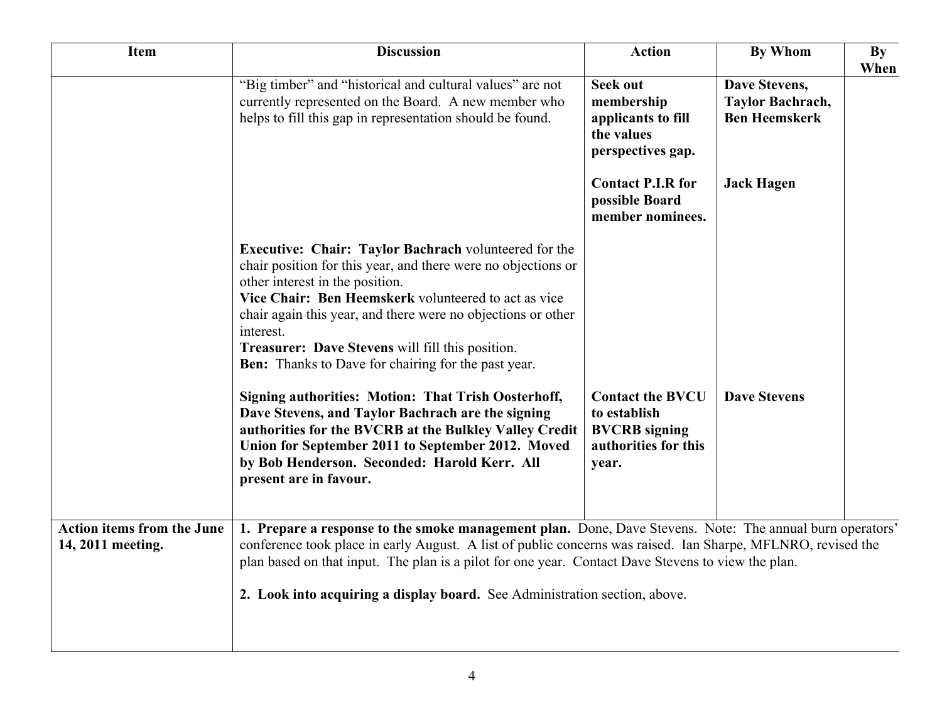| <b>Item</b>                                            | <b>Discussion</b>                                                                                                                                                                                                                                                                                                                                                                                                       | <b>Action</b>                                                                                    | <b>By Whom</b>                                            | By<br>When |
|--------------------------------------------------------|-------------------------------------------------------------------------------------------------------------------------------------------------------------------------------------------------------------------------------------------------------------------------------------------------------------------------------------------------------------------------------------------------------------------------|--------------------------------------------------------------------------------------------------|-----------------------------------------------------------|------------|
|                                                        | "Big timber" and "historical and cultural values" are not<br>currently represented on the Board. A new member who<br>helps to fill this gap in representation should be found.                                                                                                                                                                                                                                          | <b>Seek out</b><br>membership<br>applicants to fill<br>the values<br>perspectives gap.           | Dave Stevens,<br>Taylor Bachrach,<br><b>Ben Heemskerk</b> |            |
|                                                        |                                                                                                                                                                                                                                                                                                                                                                                                                         | <b>Contact P.I.R for</b><br>possible Board<br>member nominees.                                   | <b>Jack Hagen</b>                                         |            |
|                                                        | <b>Executive: Chair: Taylor Bachrach volunteered for the</b><br>chair position for this year, and there were no objections or<br>other interest in the position.<br>Vice Chair: Ben Heemskerk volunteered to act as vice<br>chair again this year, and there were no objections or other<br>interest.<br>Treasurer: Dave Stevens will fill this position.<br><b>Ben:</b> Thanks to Dave for chairing for the past year. |                                                                                                  |                                                           |            |
|                                                        | <b>Signing authorities: Motion: That Trish Oosterhoff,</b><br>Dave Stevens, and Taylor Bachrach are the signing<br>authorities for the BVCRB at the Bulkley Valley Credit<br>Union for September 2011 to September 2012. Moved<br>by Bob Henderson. Seconded: Harold Kerr. All<br>present are in favour.                                                                                                                | <b>Contact the BVCU</b><br>to establish<br><b>BVCRB</b> signing<br>authorities for this<br>year. | <b>Dave Stevens</b>                                       |            |
| <b>Action items from the June</b><br>14, 2011 meeting. | 1. Prepare a response to the smoke management plan. Done, Dave Stevens. Note: The annual burn operators'<br>conference took place in early August. A list of public concerns was raised. Ian Sharpe, MFLNRO, revised the<br>plan based on that input. The plan is a pilot for one year. Contact Dave Stevens to view the plan.                                                                                          |                                                                                                  |                                                           |            |
|                                                        | 2. Look into acquiring a display board. See Administration section, above.                                                                                                                                                                                                                                                                                                                                              |                                                                                                  |                                                           |            |